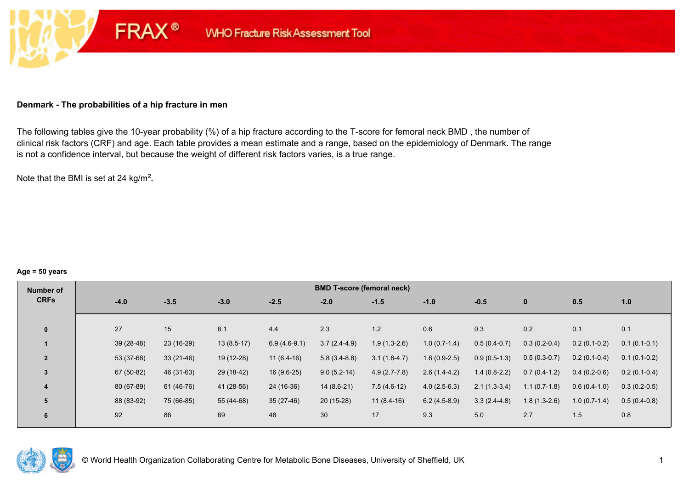#### **Denmark - The probabilities of a hip fracture in men**

**FRAX®** 

The following tables give the 10-year probability (%) of a hip fracture according to the T-score for femoral neck BMD , the number of clinical risk factors (CRF) and age. Each table provides a mean estimate and a range, based on the epidemiology of Denmark. The range is not a confidence interval, but because the weight of different risk factors varies, is a true range.

Note that the BMI is set at 24 kg/m²**.** 

#### **Age = 50 years**

| Number of      |        |             |             |              |                | <b>BMD T-score (femoral neck)</b> |                |                |                |                |                |                |
|----------------|--------|-------------|-------------|--------------|----------------|-----------------------------------|----------------|----------------|----------------|----------------|----------------|----------------|
| <b>CRFs</b>    | $-4.0$ |             | $-3.5$      | $-3.0$       | $-2.5$         | $-2.0$                            | $-1.5$         | $-1.0$         | $-0.5$         | $\mathbf{0}$   | 0.5            | 1.0            |
|                |        |             |             |              |                |                                   |                |                |                |                |                |                |
| $\mathbf{0}$   | 27     |             | 15          | 8.1          | 4.4            | 2.3                               | 1.2            | 0.6            | 0.3            | 0.2            | 0.1            | 0.1            |
|                |        | $39(28-48)$ | 23 (16-29)  | $13(8.5-17)$ | $6.9(4.6-9.1)$ | $3.7(2.4-4.9)$                    | $1.9(1.3-2.6)$ | $1.0(0.7-1.4)$ | $0.5(0.4-0.7)$ | $0.3(0.2-0.4)$ | $0.2(0.1-0.2)$ | $0.1(0.1-0.1)$ |
| $\overline{2}$ |        | 53 (37-68)  | $33(21-46)$ | 19 (12-28)   | $11(6.4-16)$   | $5.8(3.4-8.8)$                    | $3.1(1.8-4.7)$ | $1.6(0.9-2.5)$ | $0.9(0.5-1.3)$ | $0.5(0.3-0.7)$ | $0.2(0.1-0.4)$ | $0.1(0.1-0.2)$ |
| 3              |        | 67 (50-82)  | 46 (31-63)  | 29 (18-42)   | $16(9.6-25)$   | $9.0(5.2-14)$                     | $4.9(2.7-7.8)$ | $2.6(1.4-4.2)$ | $1.4(0.8-2.2)$ | $0.7(0.4-1.2)$ | $0.4(0.2-0.6)$ | $0.2(0.1-0.4)$ |
| 4              |        | 80 (67-89)  | 61 (46-76)  | 41 (28-56)   | 24 (16-36)     | $14(8.6-21)$                      | $7.5(4.6-12)$  | $4.0(2.5-6.3)$ | $2.1(1.3-3.4)$ | $1.1(0.7-1.8)$ | $0.6(0.4-1.0)$ | $0.3(0.2-0.5)$ |
| 5              |        | 88 (83-92)  | 75 (66-85)  | 55 (44-68)   | $35(27-46)$    | $20(15-28)$                       | $11(8.4-16)$   | $6.2(4.5-8.9)$ | $3.3(2.4-4.8)$ | $1.8(1.3-2.6)$ | $1.0(0.7-1.4)$ | $0.5(0.4-0.8)$ |
| 6              | 92     |             | 86          | 69           | 48             | 30                                | 17             | 9.3            | 5.0            | 2.7            | 1.5            | 0.8            |

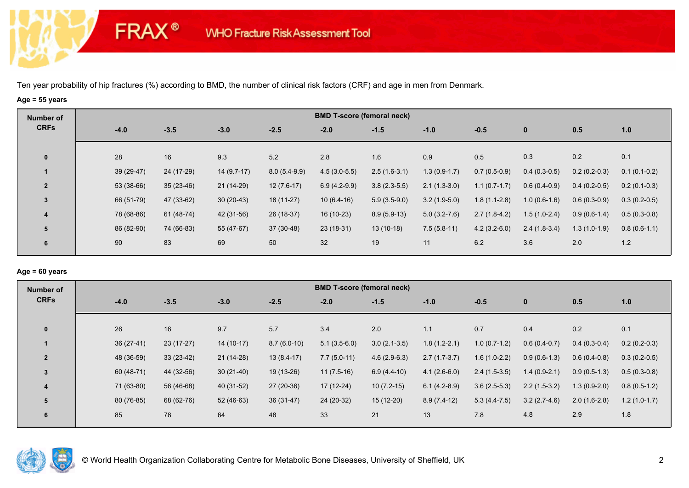**FRAX®** 

# **Age = 55 years**

| Number of      |             |             |              |                | <b>BMD T-score (femoral neck)</b> |                |                |                |                |                |                |
|----------------|-------------|-------------|--------------|----------------|-----------------------------------|----------------|----------------|----------------|----------------|----------------|----------------|
| <b>CRFs</b>    | $-4.0$      | $-3.5$      | $-3.0$       | $-2.5$         | $-2.0$                            | $-1.5$         | $-1.0$         | $-0.5$         | $\bf{0}$       | 0.5            | 1.0            |
| $\mathbf 0$    | 28          | 16          | 9.3          | 5.2            | 2.8                               | 1.6            | 0.9            | 0.5            | 0.3            | 0.2            | 0.1            |
|                | 39 (29-47)  | 24 (17-29)  | $14(9.7-17)$ | $8.0(5.4-9.9)$ | $4.5(3.0-5.5)$                    | $2.5(1.6-3.1)$ | $1.3(0.9-1.7)$ | $0.7(0.5-0.9)$ | $0.4(0.3-0.5)$ | $0.2(0.2-0.3)$ | $0.1(0.1-0.2)$ |
| $\overline{2}$ | $53(38-66)$ | $35(23-46)$ | 21 (14-29)   | $12(7.6-17)$   | $6.9(4.2-9.9)$                    | $3.8(2.3-5.5)$ | $2.1(1.3-3.0)$ | $1.1(0.7-1.7)$ | $0.6(0.4-0.9)$ | $0.4(0.2-0.5)$ | $0.2(0.1-0.3)$ |
| 3              | 66 (51-79)  | 47 (33-62)  | $30(20-43)$  | $18(11-27)$    | $10(6.4-16)$                      | $5.9(3.5-9.0)$ | $3.2(1.9-5.0)$ | $1.8(1.1-2.8)$ | $1.0(0.6-1.6)$ | $0.6(0.3-0.9)$ | $0.3(0.2-0.5)$ |
| 4              | 78 (68-86)  | 61 (48-74)  | 42 (31-56)   | 26 (18-37)     | 16 (10-23)                        | $8.9(5.9-13)$  | $5.0(3.2-7.6)$ | $2.7(1.8-4.2)$ | $1.5(1.0-2.4)$ | $0.9(0.6-1.4)$ | $0.5(0.3-0.8)$ |
| 5              | 86 (82-90)  | 74 (66-83)  | 55 (47-67)   | 37 (30-48)     | $23(18-31)$                       | $13(10-18)$    | $7.5(5.8-11)$  | $4.2(3.2-6.0)$ | $2.4(1.8-3.4)$ | $1.3(1.0-1.9)$ | $0.8(0.6-1.1)$ |
| 6              | 90          | 83          | 69           | 50             | 32                                | 19             | 11             | 6.2            | 3.6            | 2.0            | 1.2            |

#### **Age = 60 years**

| <b>CRFs</b><br>$-3.5$<br>$-2.5$<br>$-3.0$<br>$-4.0$<br>$-2.0$<br>$-1.5$<br>$-1.0$<br>$-0.5$<br>0.5<br>1.0<br>$\mathbf{0}$                                                                               |  |
|---------------------------------------------------------------------------------------------------------------------------------------------------------------------------------------------------------|--|
|                                                                                                                                                                                                         |  |
|                                                                                                                                                                                                         |  |
| 0.4<br>0.2<br>0.1<br>26<br>9.7<br>5.7<br>$\mathbf{0}$<br>16<br>3.4<br>2.0<br>0.7<br>1.1                                                                                                                 |  |
| $36(27-41)$<br>23 (17-27)<br>$14(10-17)$<br>$8.7(6.0-10)$<br>$5.1(3.5-6.0)$<br>$3.0(2.1-3.5)$<br>$1.8(1.2-2.1)$<br>$1.0(0.7-1.2)$<br>$0.2(0.2-0.3)$<br>$0.6(0.4-0.7)$<br>$0.4(0.3-0.4)$                 |  |
| 48 (36-59)<br>$33(23-42)$<br>$21(14-28)$<br>$13(8.4-17)$<br>$7.7(5.0-11)$<br>$4.6(2.9-6.3)$<br>$2.7(1.7-3.7)$<br>$1.6(1.0-2.2)$<br>$0.9(0.6-1.3)$<br>$0.3(0.2-0.5)$<br>$\overline{2}$<br>$0.6(0.4-0.8)$ |  |
| 60 (48-71)<br>44 (32-56)<br>$30(21-40)$<br>19 (13-26)<br>$11(7.5-16)$<br>$4.1(2.6-6.0)$<br>$2.4(1.5-3.5)$<br>$1.4(0.9-2.1)$<br>$0.9(0.5-1.3)$<br>$6.9(4.4-10)$<br>$0.5(0.3-0.8)$<br>$\overline{3}$      |  |
| 71 (63-80)<br>56 (46-68)<br>40 (31-52)<br>27 (20-36)<br>$10(7.2-15)$<br>$3.6(2.5-5.3)$<br>17 (12-24)<br>$6.1(4.2-8.9)$<br>$2.2(1.5-3.2)$<br>$1.3(0.9-2.0)$<br>$0.8(0.5-1.2)$<br>4                       |  |
| 80 (76-85)<br>68 (62-76)<br>$52(46-63)$<br>$36(31-47)$<br>24 (20-32)<br>$15(12-20)$<br>$8.9(7.4-12)$<br>$3.2(2.7-4.6)$<br>$2.0(1.6-2.8)$<br>$1.2(1.0-1.7)$<br>5<br>$5.3(4.4-7.5)$                       |  |
| 48<br>85<br>78<br>64<br>33<br>21<br>13<br>7.8<br>4.8<br>2.9<br>1.8<br>6                                                                                                                                 |  |

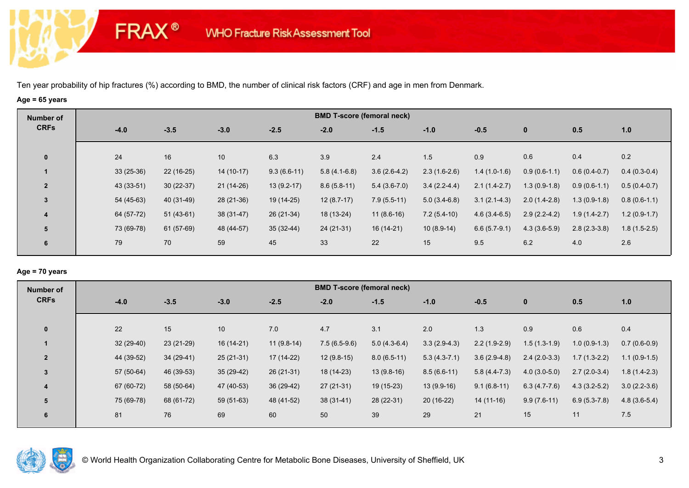**FRAX®** 

# **Age = 65 years**

| Number of      |             |             |             |               | <b>BMD T-score (femoral neck)</b> |                |                |                |                |                |                |
|----------------|-------------|-------------|-------------|---------------|-----------------------------------|----------------|----------------|----------------|----------------|----------------|----------------|
| <b>CRFs</b>    | $-4.0$      | $-3.5$      | $-3.0$      | $-2.5$        | $-2.0$                            | $-1.5$         | $-1.0$         | $-0.5$         | $\bf{0}$       | 0.5            | 1.0            |
| $\mathbf 0$    | 24          | 16          | 10          | 6.3           | 3.9                               | 2.4            | 1.5            | 0.9            | 0.6            | 0.4            | 0.2            |
|                | $33(25-36)$ | $22(16-25)$ | $14(10-17)$ | $9.3(6.6-11)$ | $5.8(4.1-6.8)$                    | $3.6(2.6-4.2)$ | $2.3(1.6-2.6)$ | $1.4(1.0-1.6)$ | $0.9(0.6-1.1)$ | $0.6(0.4-0.7)$ | $0.4(0.3-0.4)$ |
| $\overline{2}$ | 43 (33-51)  | $30(22-37)$ | $21(14-26)$ | $13(9.2-17)$  | $8.6(5.8-11)$                     | $5.4(3.6-7.0)$ | $3.4(2.2-4.4)$ | $2.1(1.4-2.7)$ | $1.3(0.9-1.8)$ | $0.9(0.6-1.1)$ | $0.5(0.4-0.7)$ |
| 3              | 54 (45-63)  | 40 (31-49)  | 28 (21-36)  | 19 (14-25)    | $12(8.7-17)$                      | $7.9(5.5-11)$  | $5.0(3.4-6.8)$ | $3.1(2.1-4.3)$ | $2.0(1.4-2.8)$ | $1.3(0.9-1.8)$ | $0.8(0.6-1.1)$ |
| 4              | 64 (57-72)  | $51(43-61)$ | $38(31-47)$ | 26 (21-34)    | 18 (13-24)                        | $11(8.6-16)$   | $7.2(5.4-10)$  | $4.6(3.4-6.5)$ | $2.9(2.2-4.2)$ | $1.9(1.4-2.7)$ | $1.2(0.9-1.7)$ |
| 5              | 73 (69-78)  | 61 (57-69)  | 48 (44-57)  | $35(32-44)$   | $24(21-31)$                       | $16(14-21)$    | $10(8.9-14)$   | $6.6(5.7-9.1)$ | $4.3(3.6-5.9)$ | $2.8(2.3-3.8)$ | $1.8(1.5-2.5)$ |
| 6              | 79          | 70          | 59          | 45            | 33                                | 22             | 15             | 9.5            | 6.2            | 4.0            | 2.6            |

## **Age = 70 years**

| Number of      |             |             |             |              | <b>BMD T-score (femoral neck)</b> |                |                |                |                |                |                |
|----------------|-------------|-------------|-------------|--------------|-----------------------------------|----------------|----------------|----------------|----------------|----------------|----------------|
| <b>CRFs</b>    | $-4.0$      | $-3.5$      | $-3.0$      | $-2.5$       | $-2.0$                            | $-1.5$         | $-1.0$         | $-0.5$         | $\mathbf 0$    | 0.5            | 1.0            |
|                |             |             |             |              |                                   |                |                |                |                |                |                |
| $\mathbf{0}$   | 22          | 15          | 10          | 7.0          | 4.7                               | 3.1            | 2.0            | 1.3            | 0.9            | 0.6            | 0.4            |
|                | $32(29-40)$ | $23(21-29)$ | 16 (14-21)  | $11(9.8-14)$ | $7.5(6.5-9.6)$                    | $5.0(4.3-6.4)$ | $3.3(2.9-4.3)$ | $2.2(1.9-2.9)$ | $1.5(1.3-1.9)$ | $1.0(0.9-1.3)$ | $0.7(0.6-0.9)$ |
| $\overline{2}$ | 44 (39-52)  | $34(29-41)$ | $25(21-31)$ | $17(14-22)$  | $12(9.8-15)$                      | $8.0(6.5-11)$  | $5.3(4.3-7.1)$ | $3.6(2.9-4.8)$ | $2.4(2.0-3.3)$ | $1.7(1.3-2.2)$ | $1.1(0.9-1.5)$ |
| $\overline{3}$ | 57 (50-64)  | 46 (39-53)  | $35(29-42)$ | $26(21-31)$  | 18 (14-23)                        | $13(9.8-16)$   | $8.5(6.6-11)$  | $5.8(4.4-7.3)$ | $4.0(3.0-5.0)$ | $2.7(2.0-3.4)$ | $1.8(1.4-2.3)$ |
| 4              | 67 (60-72)  | 58 (50-64)  | 47 (40-53)  | $36(29-42)$  | $27(21-31)$                       | 19 (15-23)     | $13(9.9-16)$   | $9.1(6.8-11)$  | $6.3(4.7-7.6)$ | $4.3(3.2-5.2)$ | $3.0(2.2-3.6)$ |
| 5              | 75 (69-78)  | 68 (61-72)  | 59 (51-63)  | 48 (41-52)   | $38(31-41)$                       | 28 (22-31)     | $20(16-22)$    | $14(11-16)$    | $9.9(7.6-11)$  | $6.9(5.3-7.8)$ | $4.8(3.6-5.4)$ |
| 6              | 81          | 76          | 69          | 60           | 50                                | 39             | 29             | 21             | 15             | 11             | $7.5$          |
|                |             |             |             |              |                                   |                |                |                |                |                |                |

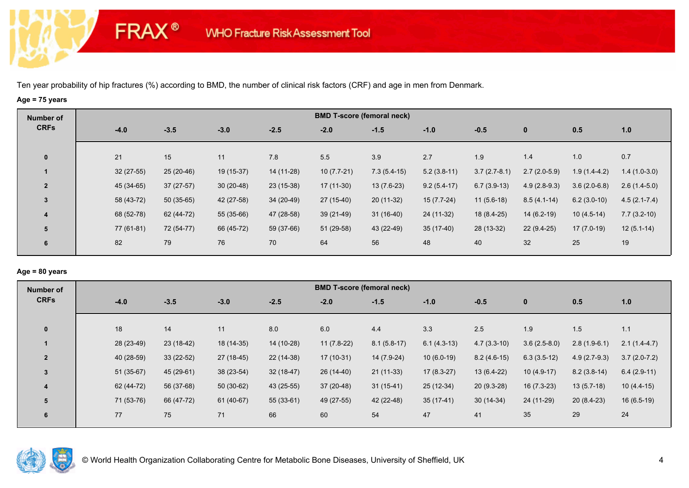**FRAX®** 

# **Age = 75 years**

| Number of               |             |             |             |             |              | <b>BMD T-score (femoral neck)</b> |               |                |                |                |                  |
|-------------------------|-------------|-------------|-------------|-------------|--------------|-----------------------------------|---------------|----------------|----------------|----------------|------------------|
| <b>CRFs</b>             | $-4.0$      | $-3.5$      | $-3.0$      | $-2.5$      | $-2.0$       | $-1.5$                            | $-1.0$        | $-0.5$         | $\bf{0}$       | 0.5            | 1.0              |
| $\mathbf 0$             | 21          | 15          | 11          | 7.8         | 5.5          | 3.9                               | 2.7           | 1.9            | 1.4            | 1.0            | 0.7              |
|                         | $32(27-55)$ | $25(20-46)$ | 19 (15-37)  | 14 (11-28)  | $10(7.7-21)$ | $7.3(5.4-15)$                     | $5.2(3.8-11)$ | $3.7(2.7-8.1)$ | $2.7(2.0-5.9)$ | $1.9(1.4-4.2)$ | $1.4(1.0-3.0)$   |
| $\overline{2}$          | 45 (34-65)  | $37(27-57)$ | $30(20-48)$ | $23(15-38)$ | $17(11-30)$  | $13(7.6-23)$                      | $9.2(5.4-17)$ | $6.7(3.9-13)$  | $4.9(2.8-9.3)$ | $3.6(2.0-6.8)$ | $2.6(1.4-5.0)$   |
| 3                       | 58 (43-72)  | $50(35-65)$ | 42 (27-58)  | $34(20-49)$ | $27(15-40)$  | $20(11-32)$                       | $15(7.7-24)$  | $11(5.6-18)$   | $8.5(4.1-14)$  | $6.2(3.0-10)$  | $4.5(2.1 - 7.4)$ |
| $\overline{\mathbf{4}}$ | 68 (52-78)  | 62 (44-72)  | 55 (35-66)  | 47 (28-58)  | 39 (21-49)   | $31(16-40)$                       | 24 (11-32)    | $18(8.4-25)$   | $14(6.2-19)$   | $10(4.5-14)$   | $7.7(3.2-10)$    |
| 5                       | 77 (61-81)  | 72 (54-77)  | 66 (45-72)  | 59 (37-66)  | 51 (29-58)   | 43 (22-49)                        | $35(17-40)$   | 28 (13-32)     | $22(9.4-25)$   | $17(7.0-19)$   | $12(5.1-14)$     |
| 6                       | 82          | 79          | 76          | 70          | 64           | 56                                | 48            | 40             | 32             | 25             | 19               |

## **Age = 80 years**

| Number of      |             |             |             |             |              | <b>BMD T-score (femoral neck)</b> |               |               |                |                |                |
|----------------|-------------|-------------|-------------|-------------|--------------|-----------------------------------|---------------|---------------|----------------|----------------|----------------|
| <b>CRFs</b>    | $-4.0$      | $-3.5$      | $-3.0$      | $-2.5$      | $-2.0$       | $-1.5$                            | $-1.0$        | $-0.5$        | $\mathbf{0}$   | 0.5            | 1.0            |
|                |             |             |             |             |              |                                   |               |               |                |                |                |
| $\mathbf{0}$   | 18          | 14          | 11          | 8.0         | 6.0          | 4.4                               | 3.3           | 2.5           | 1.9            | 1.5            | 1.1            |
|                | 28 (23-49)  | $23(18-42)$ | 18 (14-35)  | 14 (10-28)  | $11(7.8-22)$ | $8.1(5.8-17)$                     | $6.1(4.3-13)$ | $4.7(3.3-10)$ | $3.6(2.5-8.0)$ | $2.8(1.9-6.1)$ | $2.1(1.4-4.7)$ |
| $\overline{2}$ | 40 (28-59)  | $33(22-52)$ | $27(18-45)$ | 22 (14-38)  | $17(10-31)$  | 14 (7.9-24)                       | $10(6.0-19)$  | $8.2(4.6-15)$ | $6.3(3.5-12)$  | $4.9(2.7-9.3)$ | $3.7(2.0-7.2)$ |
| $\overline{3}$ | $51(35-67)$ | 45 (29-61)  | 38 (23-54)  | $32(18-47)$ | $26(14-40)$  | $21(11-33)$                       | $17(8.3-27)$  | $13(6.4-22)$  | $10(4.9-17)$   | $8.2(3.8-14)$  | $6.4(2.9-11)$  |
| 4              | 62 (44-72)  | 56 (37-68)  | $50(30-62)$ | 43 (25-55)  | $37(20-48)$  | $31(15-41)$                       | 25 (12-34)    | 20 (9.3-28)   | $16(7.3-23)$   | $13(5.7-18)$   | $10(4.4-15)$   |
| 5              | 71 (53-76)  | 66 (47-72)  | 61 (40-67)  | $55(33-61)$ | 49 (27-55)   | 42 (22-48)                        | $35(17-41)$   | $30(14-34)$   | 24 (11-29)     | $20(8.4-23)$   | $16(6.5-19)$   |
| 6              | 77          | 75          | 71          | 66          | 60           | 54                                | 47            | 41            | 35             | 29             | 24             |
|                |             |             |             |             |              |                                   |               |               |                |                |                |